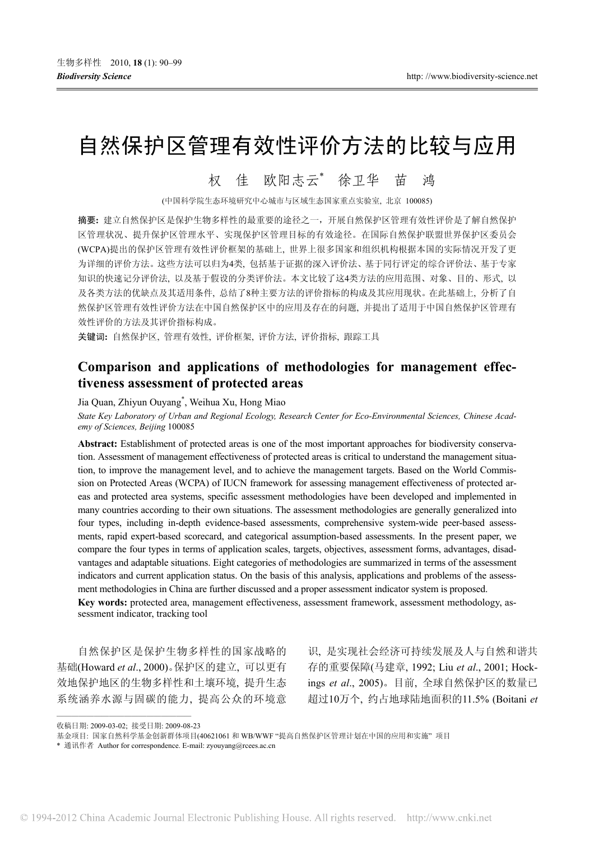# 自然保护区管理有效性评价方法的比较与应用

# 权 佳 欧阳志云\* 徐卫华 苗 鸿

(中国科学院生态环境研究中心城市与区域生态国家重点实验室, 北京 100085)

摘要**:** 建立自然保护区是保护生物多样性的最重要的途径之一,开展自然保护区管理有效性评价是了解自然保护 区管理状况、提升保护区管理水平、实现保护区管理目标的有效途径。在国际自然保护联盟世界保护区委员会 (WCPA)提出的保护区管理有效性评价框架的基础上, 世界上很多国家和组织机构根据本国的实际情况开发了更 为详细的评价方法。这些方法可以归为4类, 包括基于证据的深入评价法、基于同行评定的综合评价法、基于专家 知识的快速记分评价法, 以及基于假设的分类评价法。本文比较了这4类方法的应用范围、对象、目的、形式, 以 及各类方法的优缺点及其适用条件, 总结了8种主要方法的评价指标的构成及其应用现状。在此基础上, 分析了自 然保护区管理有效性评价方法在中国自然保护区中的应用及存在的问题, 并提出了适用于中国自然保护区管理有 效性评价的方法及其评价指标构成。

关键词**:** 自然保护区, 管理有效性, 评价框架, 评价方法, 评价指标, 跟踪工具

# **Comparison and applications of methodologies for management effectiveness assessment of protected areas**

Jia Quan, Zhiyun Ouyang\* , Weihua Xu, Hong Miao

*State Key Laboratory of Urban and Regional Ecology, Research Center for Eco-Environmental Sciences, Chinese Academy of Sciences, Beijing* 100085

**Abstract:** Establishment of protected areas is one of the most important approaches for biodiversity conservation. Assessment of management effectiveness of protected areas is critical to understand the management situation, to improve the management level, and to achieve the management targets. Based on the World Commission on Protected Areas (WCPA) of IUCN framework for assessing management effectiveness of protected areas and protected area systems, specific assessment methodologies have been developed and implemented in many countries according to their own situations. The assessment methodologies are generally generalized into four types, including in-depth evidence-based assessments, comprehensive system-wide peer-based assessments, rapid expert-based scorecard, and categorical assumption-based assessments. In the present paper, we compare the four types in terms of application scales, targets, objectives, assessment forms, advantages, disadvantages and adaptable situations. Eight categories of methodologies are summarized in terms of the assessment indicators and current application status. On the basis of this analysis, applications and problems of the assessment methodologies in China are further discussed and a proper assessment indicator system is proposed. **Key words:** protected area, management effectiveness, assessment framework, assessment methodology, as-

sessment indicator, tracking tool

自然保护区是保护生物多样性的国家战略的 基础(Howard *et al*., 2000)。保护区的建立, 可以更有 效地保护地区的生物多样性和土壤环境, 提升生态 系统涵养水源与固碳的能力, 提高公众的环境意

识, 是实现社会经济可持续发展及人与自然和谐共 存的重要保障(马建章, 1992; Liu *et al*., 2001; Hockings *et al*., 2005)。目前, 全球自然保护区的数量已 超过10万个, 约占地球陆地面积的11.5% (Boitani *et* 

<sup>——————————————————</sup> 收稿日期: 2009-03-02; 接受日期: 2009-08-23

基金项目: 国家自然科学基金创新群体项目(40621061 和 WB/WWF "提高自然保护区管理计划在中国的应用和实施" 项目

<sup>\*</sup> 通讯作者 Author for correspondence. E-mail: zyouyang@rcees.ac.cn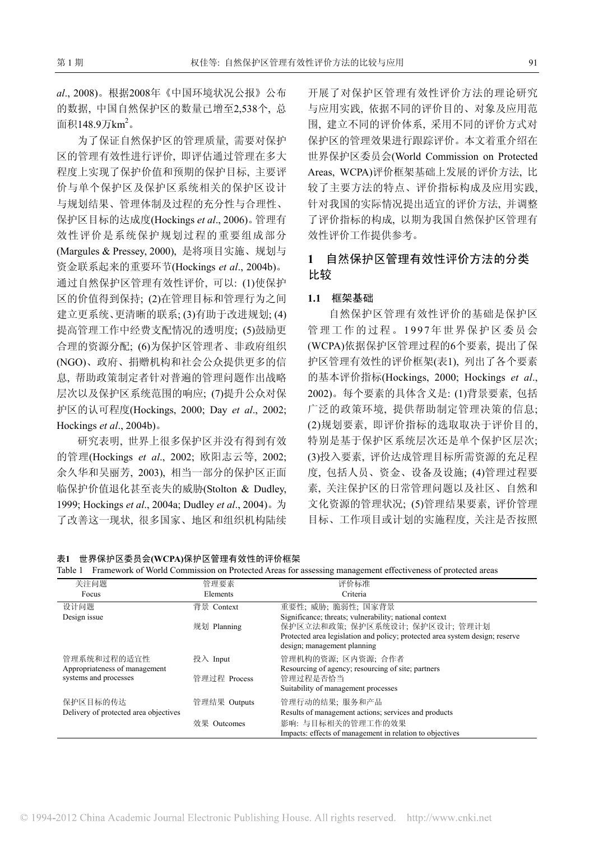*al*., 2008)。根据2008年《中国环境状况公报》公布 的数据, 中国自然保护区的数量已增至2,538个, 总 面积148.9万km $^2\,$ 

为了保证自然保护区的管理质量, 需要对保护 区的管理有效性进行评价, 即评估通过管理在多大 程度上实现了保护价值和预期的保护目标, 主要评 价与单个保护区及保护区系统相关的保护区设计 与规划结果、管理体制及过程的充分性与合理性、 保护区目标的达成度(Hockings *et al*., 2006)。管理有 效性评价是系统保护规划过程的重要组成部分 (Margules & Pressey, 2000), 是将项目实施、规划与 资金联系起来的重要环节(Hockings *et al*., 2004b)。 通过自然保护区管理有效性评价, 可以: (1)使保护 区的价值得到保持; (2)在管理目标和管理行为之间 建立更系统、更清晰的联系; (3)有助于改进规划; (4) 提高管理工作中经费支配情况的透明度; (5)鼓励更 合理的资源分配; (6)为保护区管理者、非政府组织 (NGO)、政府、捐赠机构和社会公众提供更多的信 息, 帮助政策制定者针对普遍的管理问题作出战略 层次以及保护区系统范围的响应; (7)提升公众对保 护区的认可程度(Hockings, 2000; Day *et al*., 2002; Hockings *et al*., 2004b)。

研究表明, 世界上很多保护区并没有得到有效 的管理(Hockings *et al*., 2002; 欧阳志云等, 2002; 余久华和吴丽芳, 2003), 相当一部分的保护区正面 临保护价值退化甚至丧失的威胁(Stolton & Dudley, 1999; Hockings *et al*., 2004a; Dudley *et al*., 2004)。为 了改善这一现状, 很多国家、地区和组织机构陆续

开展了对保护区管理有效性评价方法的理论研究 与应用实践, 依据不同的评价目的、对象及应用范 围, 建立不同的评价体系, 采用不同的评价方式对 保护区的管理效果进行跟踪评价。本文着重介绍在 世界保护区委员会(World Commission on Protected Areas, WCPA)评价框架基础上发展的评价方法, 比 较了主要方法的特点、评价指标构成及应用实践, 针对我国的实际情况提出适宜的评价方法, 并调整 了评价指标的构成, 以期为我国自然保护区管理有 效性评价工作提供参考。

# **1** 自然保护区管理有效性评价方法的分类 比较

#### **1.1** 框架基础

自然保护区管理有效性评价的基础是保护区 管理工作的过程。1997年世界保护区委员会 (WCPA)依据保护区管理过程的6个要素, 提出了保 护区管理有效性的评价框架(表1), 列出了各个要素 的基本评价指标(Hockings, 2000; Hockings *et al*., 2002)。每个要素的具体含义是: (1)背景要素, 包括 广泛的政策环境, 提供帮助制定管理决策的信息; (2)规划要素, 即评价指标的选取取决于评价目的, 特别是基于保护区系统层次还是单个保护区层次; (3)投入要素, 评价达成管理目标所需资源的充足程 度, 包括人员、资金、设备及设施; (4)管理过程要 素, 关注保护区的日常管理问题以及社区、自然和 文化资源的管理状况; (5)管理结果要素, 评价管理 目标、工作项目或计划的实施程度, 关注是否按照

表**1** 世界保护区委员会**(WCPA)**保护区管理有效性的评价框架

|  |  | Table 1 Framework of World Commission on Protected Areas for assessing management effectiveness of protected areas |  |
|--|--|--------------------------------------------------------------------------------------------------------------------|--|
|  |  |                                                                                                                    |  |

| 关注问题<br>Focus                                | 管理要素<br>Elements | 评价标准<br>Criteria                                                                                                                              |
|----------------------------------------------|------------------|-----------------------------------------------------------------------------------------------------------------------------------------------|
| 设计问题<br>Design issue                         | 背景 Context       | 重要性; 威胁; 脆弱性; 国家背景<br>Significance; threats; vulnerability; national context                                                                  |
|                                              | 规划 Planning      | 保护区立法和政策; 保护区系统设计; 保护区设计; 管理计划<br>Protected area legislation and policy; protected area system design; reserve<br>design; management planning |
| 管理系统和过程的适宜性<br>Appropriateness of management | 投入 Input         | 管理机构的资源; 区内资源; 合作者<br>Resourcing of agency; resourcing of site; partners                                                                      |
| systems and processes                        | 管理过程 Process     | 管理过程是否恰当<br>Suitability of management processes                                                                                               |
| 保护区目标的传达                                     | 管理结果 Outputs     | 管理行动的结果; 服务和产品                                                                                                                                |
| Delivery of protected area objectives        | 效果 Outcomes      | Results of management actions; services and products<br>影响: 与目标相关的管理工作的效果<br>Impacts: effects of management in relation to objectives         |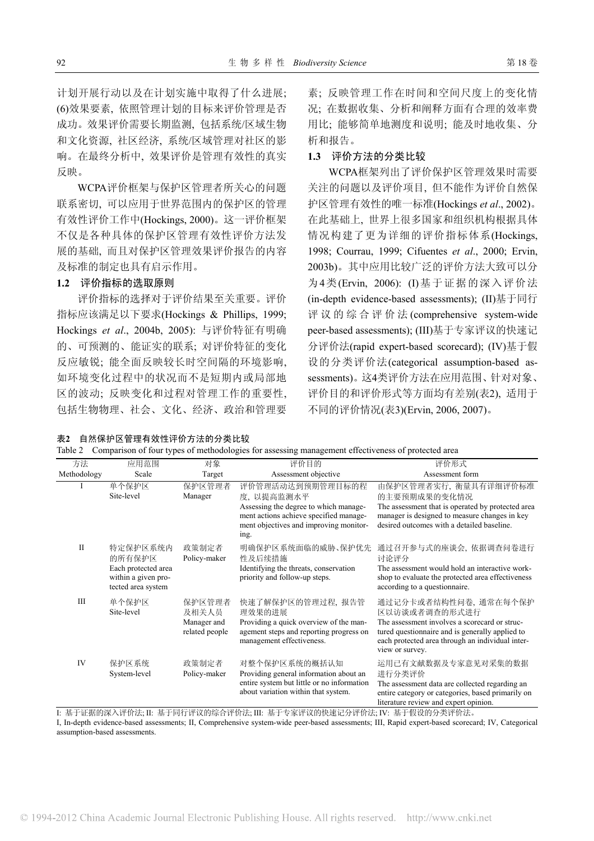计划开展行动以及在计划实施中取得了什么进展; (6)效果要素, 依照管理计划的目标来评价管理是否 成功。效果评价需要长期监测, 包括系统/区域生物 和文化资源, 社区经济, 系统/区域管理对社区的影 响。在最终分析中, 效果评价是管理有效性的真实 反映。

WCPA评价框架与保护区管理者所关心的问题 联系密切, 可以应用于世界范围内的保护区的管理 有效性评价工作中(Hockings, 2000)。这一评价框架 不仅是各种具体的保护区管理有效性评价方法发 展的基础, 而且对保护区管理效果评价报告的内容 及标准的制定也具有启示作用。

#### **1.2** 评价指标的选取原则

评价指标的选择对于评价结果至关重要。评价 指标应该满足以下要求(Hockings & Phillips, 1999; Hockings *et al*., 2004b, 2005): 与评价特征有明确 的、可预测的、能证实的联系; 对评价特征的变化 反应敏锐; 能全面反映较长时空间隔的环境影响, 如环境变化过程中的状况而不是短期内或局部地 区的波动; 反映变化和过程对管理工作的重要性, 包括生物物理、社会、文化、经济、政治和管理要

表**2** 自然保护区管理有效性评价方法的分类比较

素; 反映管理工作在时间和空间尺度上的变化情 况; 在数据收集、分析和阐释方面有合理的效率费 用比; 能够简单地测度和说明; 能及时地收集、分 析和报告。

#### **1.3** 评价方法的分类比较

WCPA框架列出了评价保护区管理效果时需要 关注的问题以及评价项目, 但不能作为评价自然保 护区管理有效性的唯一标准(Hockings *et al*., 2002)。 在此基础上, 世界上很多国家和组织机构根据具体 情况构建了更为详细的评价指标体系(Hockings, 1998; Courrau, 1999; Cifuentes *et al*., 2000; Ervin, 2003b)。其中应用比较广泛的评价方法大致可以分 为4类(Ervin, 2006): (I)基于证据的深入评价法 (in-depth evidence-based assessments); (II)基于同行 评议的综合评价法 (comprehensive system-wide peer-based assessments); (III)基于专家评议的快速记 分评价法(rapid expert-based scorecard); (IV)基于假 设的分类评价法(categorical assumption-based assessments)。这4类评价方法在应用范围、针对对象、 评价目的和评价形式等方面均有差别(表2), 适用于 不同的评价情况(表3)(Ervin, 2006, 2007)。

literature review and expert opinion.

| 方法           | 应用范围                                                                                   | 对象                                               | 评价目的                                                                                                                                                                | 评价形式                                                                                                                                                                                                              |
|--------------|----------------------------------------------------------------------------------------|--------------------------------------------------|---------------------------------------------------------------------------------------------------------------------------------------------------------------------|-------------------------------------------------------------------------------------------------------------------------------------------------------------------------------------------------------------------|
| Methodology  | Scale                                                                                  | Target                                           | Assessment objective                                                                                                                                                | Assessment form                                                                                                                                                                                                   |
|              | 单个保护区<br>Site-level                                                                    | 保护区管理者<br>Manager                                | 评价管理活动达到预期管理目标的程<br>度, 以提高监测水平<br>Assessing the degree to which manage-<br>ment actions achieve specified manage-<br>ment objectives and improving monitor-<br>ing. | 由保护区管理者实行、衡量具有详细评价标准<br>的主要预期成果的变化情况<br>The assessment that is operated by protected area<br>manager is designed to measure changes in key<br>desired outcomes with a detailed baseline.                          |
| $\mathbf{I}$ | 特定保护区系统内<br>的所有保护区<br>Each protected area<br>within a given pro-<br>tected area system | 政策制定者<br>Policy-maker                            | 明确保护区系统面临的威胁、保护优先<br>性及后续措施<br>Identifying the threats, conservation<br>priority and follow-up steps.                                                               | 通过召开参与式的座谈会, 依据调查问卷进行<br>讨论评分<br>The assessment would hold an interactive work-<br>shop to evaluate the protected area effectiveness<br>according to a questionnaire.                                             |
| Ш            | 单个保护区<br>Site-level                                                                    | 保护区管理者<br>及相关人员<br>Manager and<br>related people | 快速了解保护区的管理过程, 报告管<br>理效果的进展<br>Providing a quick overview of the man-<br>agement steps and reporting progress on<br>management effectiveness.                       | 通过记分卡或者结构性问卷, 通常在每个保护<br>区以访谈或者调查的形式进行<br>The assessment involves a scorecard or struc-<br>tured questionnaire and is generally applied to<br>each protected area through an individual inter-<br>view or survey. |
| IV           | 保护区系统<br>System-level                                                                  | 政策制定者<br>Policy-maker                            | 对整个保护区系统的概括认知<br>Providing general information about an<br>entire system but little or no information<br>about variation within that system.                        | 运用已有文献数据及专家意见对采集的数据<br>进行分类评价<br>The assessment data are collected regarding an<br>entire category or categories, based primarily on                                                                              |

Table 2 Comparison of four types of methodologies for assessing management effectiveness of protected area

I: 基于证据的深入评价法; II: 基于同行评议的综合评价法; III: 基于专家评议的快速记分评价法; IV: 基于假设的分类评价法。 I, In-depth evidence-based assessments; II, Comprehensive system-wide peer-based assessments; III, Rapid expert-based scorecard; IV, Categorical assumption-based assessments.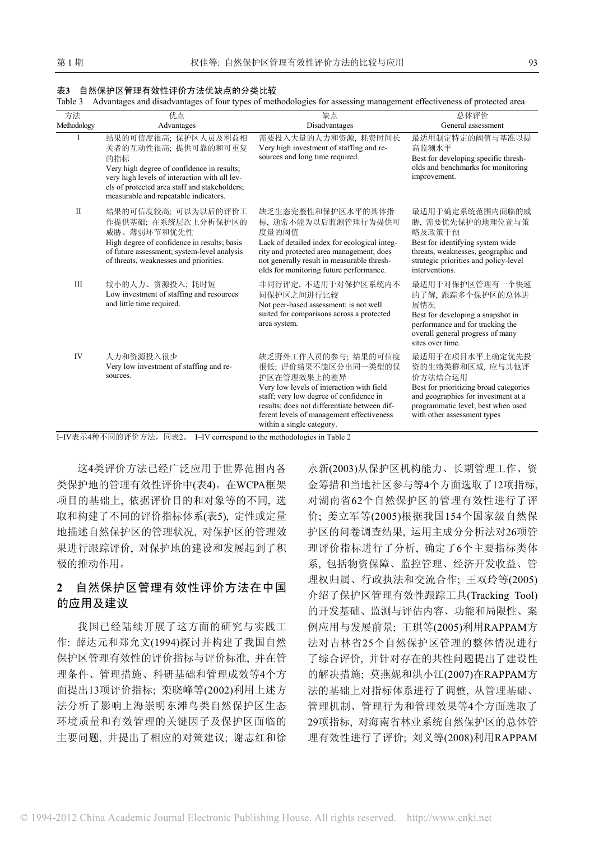#### 表**3** 自然保护区管理有效性评价方法优缺点的分类比较

Table 3 Advantages and disadvantages of four types of methodologies for assessing management effectiveness of protected area

| 方法<br>Methodology | 优点<br>Advantages                                                                                                                                                                                                                           | 缺点<br>Disadvantages                                                                                                                                                                                                                                                        | 总体评价<br>General assessment                                                                                                                                                                           |
|-------------------|--------------------------------------------------------------------------------------------------------------------------------------------------------------------------------------------------------------------------------------------|----------------------------------------------------------------------------------------------------------------------------------------------------------------------------------------------------------------------------------------------------------------------------|------------------------------------------------------------------------------------------------------------------------------------------------------------------------------------------------------|
| L                 | 结果的可信度很高; 保护区人员及利益相<br>关者的互动性很高; 提供可靠的和可重复<br>的指标<br>Very high degree of confidence in results;<br>very high levels of interaction with all lev-<br>els of protected area staff and stakeholders;<br>measurable and repeatable indicators. | 需要投入大量的人力和资源,耗费时间长<br>Very high investment of staffing and re-<br>sources and long time required.                                                                                                                                                                          | 最适用制定特定的阈值与基准以提<br>高监测水平<br>Best for developing specific thresh-<br>olds and benchmarks for monitoring<br>improvement.                                                                               |
| $\mathbf{I}$      | 结果的可信度较高; 可以为以后的评价工<br>作提供基础; 在系统层次上分析保护区的<br>威胁、薄弱环节和优先性<br>High degree of confidence in results; basis<br>of future assessment; system-level analysis<br>of threats, weaknesses and priorities.                                          | 缺乏生态完整性和保护区水平的具体指<br>标, 通常不能为以后监测管理行为提供可<br>度量的阈值<br>Lack of detailed index for ecological integ-<br>rity and protected area management; does<br>not generally result in measurable thresh-<br>olds for monitoring future performance.                                     | 最适用于确定系统范围内面临的威<br>胁,需要优先保护的地理位置与策<br>略及政策干预<br>Best for identifying system wide<br>threats, weaknesses, geographic and<br>strategic priorities and policy-level<br>interventions.                   |
| Ш                 | 较小的人力、资源投入;耗时短<br>Low investment of staffing and resources<br>and little time required.                                                                                                                                                    | 非同行评定, 不适用于对保护区系统内不<br>同保护区之间进行比较<br>Not peer-based assessment; is not well<br>suited for comparisons across a protected<br>area system.                                                                                                                                   | 最适用于对保护区管理有一个快速<br>的了解, 跟踪多个保护区的总体进<br>展情况<br>Best for developing a snapshot in<br>performance and for tracking the<br>overall general progress of many<br>sites over time.                          |
| IV                | 人力和资源投入很少<br>Very low investment of staffing and re-<br>sources.                                                                                                                                                                           | 缺乏野外工作人员的参与; 结果的可信度<br>很低;评价结果不能区分出同一类型的保<br>护区在管理效果上的差异<br>Very low levels of interaction with field<br>staff; very low degree of confidence in<br>results; does not differentiate between dif-<br>ferent levels of management effectiveness<br>within a single category. | 最适用于在项目水平上确定优先投<br>资的生物类群和区域, 应与其他评<br>价方法结合运用<br>Best for prioritizing broad categories<br>and geographies for investment at a<br>programmatic level; best when used<br>with other assessment types |

I–IV表示4种不同的评价方法,同表2。 I–IV correspond to the methodologies in Table 2

这4类评价方法已经广泛应用于世界范围内各 类保护地的管理有效性评价中(表4)。在WCPA框架 项目的基础上, 依据评价目的和对象等的不同, 选 取和构建了不同的评价指标体系(表5), 定性或定量 地描述自然保护区的管理状况, 对保护区的管理效 果进行跟踪评价, 对保护地的建设和发展起到了积 极的推动作用。

# **2** 自然保护区管理有效性评价方法在中国 的应用及建议

我国已经陆续开展了这方面的研究与实践工 作: 薛达元和郑允文(1994)探讨并构建了我国自然 保护区管理有效性的评价指标与评价标准, 并在管 理条件、管理措施、科研基础和管理成效等4个方 面提出13项评价指标; 栾晓峰等(2002)利用上述方 法分析了影响上海崇明东滩鸟类自然保护区生态 环境质量和有效管理的关键因子及保护区面临的 主要问题, 并提出了相应的对策建议; 谢志红和徐

永新(2003)从保护区机构能力、长期管理工作、资 金筹措和当地社区参与等4个方面选取了12项指标, 对湖南省62个自然保护区的管理有效性进行了评 价; 姜立军等(2005)根据我国154个国家级自然保 护区的问卷调查结果, 运用主成分分析法对26项管 理评价指标进行了分析, 确定了6个主要指标类体 系, 包括物资保障、监控管理、经济开发收益、管 理权归属、行政执法和交流合作; 王双玲等(2005) 介绍了保护区管理有效性跟踪工具(Tracking Tool) 的开发基础、监测与评估内容、功能和局限性、案 例应用与发展前景; 王琪等(2005)利用RAPPAM方 法对吉林省25个自然保护区管理的整体情况进行 了综合评价, 并针对存在的共性问题提出了建设性 的解决措施; 莫燕妮和洪小江(2007)在RAPPAM方 法的基础上对指标体系进行了调整, 从管理基础、 管理机制、管理行为和管理效果等4个方面选取了 29项指标, 对海南省林业系统自然保护区的总体管 理有效性进行了评价; 刘义等(2008)利用RAPPAM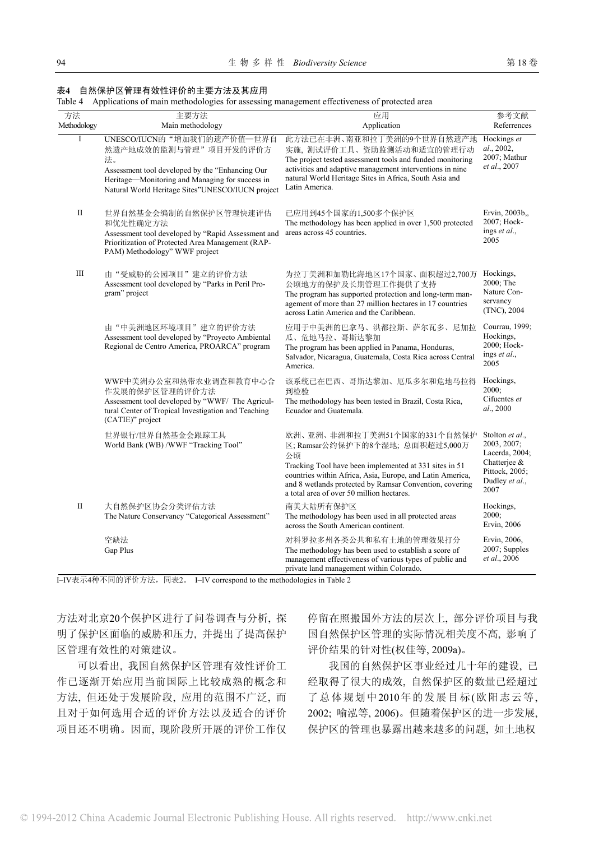#### 表**4** 自然保护区管理有效性评价的主要方法及其应用

Table 4 Applications of main methodologies for assessing management effectiveness of protected area

| 方法           | 主要方法                                                                                                                                                                                                                 | 应用                                                                                                                                                                                                                                                                                                   | 参考文献                                                                                                         |
|--------------|----------------------------------------------------------------------------------------------------------------------------------------------------------------------------------------------------------------------|------------------------------------------------------------------------------------------------------------------------------------------------------------------------------------------------------------------------------------------------------------------------------------------------------|--------------------------------------------------------------------------------------------------------------|
| Methodology  | Main methodology                                                                                                                                                                                                     | Application                                                                                                                                                                                                                                                                                          | Referrences                                                                                                  |
| I            | UNESCO/IUCN的"增加我们的遗产价值--世界自<br>然遗产地成效的监测与管理"项目开发的评价方<br>法。<br>Assessment tool developed by the "Enhancing Our<br>Heritage-Monitoring and Managing for success in<br>Natural World Heritage Sites"UNESCO/IUCN project | 此方法已在非洲、南亚和拉丁美洲的9个世界自然遗产地<br>实施, 测试评价工具、资助监测活动和适宜的管理行动<br>The project tested assessment tools and funded monitoring<br>activities and adaptive management interventions in nine<br>natural World Heritage Sites in Africa, South Asia and<br>Latin America.                                          | Hockings et<br>al., 2002,<br>2007; Mathur<br>et al., 2007                                                    |
| $\rm II$     | 世界自然基金会编制的自然保护区管理快速评估<br>和优先性确定方法<br>Assessment tool developed by "Rapid Assessment and<br>Prioritization of Protected Area Management (RAP-<br>PAM) Methodology" WWF project                                        | 已应用到45个国家的1,500多个保护区<br>The methodology has been applied in over 1,500 protected<br>areas across 45 countries.                                                                                                                                                                                       | Ervin, 2003b,,<br>2007; Hock-<br>ings et al.,<br>2005                                                        |
| Ш            | 由"受威胁的公园项目"建立的评价方法<br>Assessment tool developed by "Parks in Peril Pro-<br>gram" project                                                                                                                             | 为拉丁美洲和加勒比海地区17个国家、面积超过2,700万<br>公顷地方的保护及长期管理工作提供了支持<br>The program has supported protection and long-term man-<br>agement of more than 27 million hectares in 17 countries<br>across Latin America and the Caribbean.                                                                                | Hockings,<br>2000; The<br>Nature Con-<br>servancy<br>(TNC), 2004                                             |
|              | 由"中美洲地区环境项目"建立的评价方法<br>Assessment tool developed by "Proyecto Ambiental<br>Regional de Centro America, PROARCA" program                                                                                              | 应用于中美洲的巴拿马、洪都拉斯、萨尔瓦多、尼加拉<br>瓜、危地马拉、哥斯达黎加<br>The program has been applied in Panama, Honduras,<br>Salvador, Nicaragua, Guatemala, Costa Rica across Central<br>America.                                                                                                                               | Courrau, 1999;<br>Hockings,<br>2000; Hock-<br>ings et al.,<br>2005                                           |
|              | WWF中美洲办公室和热带农业调查和教育中心合<br>作发展的保护区管理的评价方法<br>Assessment tool developed by "WWF/ The Agricul-<br>tural Center of Tropical Investigation and Teaching<br>(CATIE)" project                                               | 该系统已在巴西、哥斯达黎加、厄瓜多尔和危地马拉得<br>到检验<br>The methodology has been tested in Brazil, Costa Rica,<br>Ecuador and Guatemala.                                                                                                                                                                                  | Hockings,<br>2000;<br>Cifuentes et<br>al., 2000                                                              |
|              | 世界银行/世界自然基金会跟踪工具<br>World Bank (WB) /WWF "Tracking Tool"                                                                                                                                                             | 欧洲、亚洲、非洲和拉丁美洲51个国家的331个自然保护<br>区; Ramsar公约保护下的8个湿地; 总面积超过5,000万<br>公顷<br>Tracking Tool have been implemented at 331 sites in 51<br>countries within Africa, Asia, Europe, and Latin America,<br>and 8 wetlands protected by Ramsar Convention, covering<br>a total area of over 50 million hectares. | Stolton et al.,<br>2003, 2007;<br>Lacerda, 2004;<br>Chatterjee &<br>Pittock, 2005;<br>Dudley et al.,<br>2007 |
| $\mathbf{I}$ | 大自然保护区协会分类评估方法<br>The Nature Conservancy "Categorical Assessment"                                                                                                                                                    | 南美大陆所有保护区<br>The methodology has been used in all protected areas<br>across the South American continent.                                                                                                                                                                                            | Hockings,<br>2000;<br>Ervin, 2006                                                                            |
|              | 空缺法<br>Gap Plus                                                                                                                                                                                                      | 对科罗拉多州各类公共和私有土地的管理效果打分<br>The methodology has been used to establish a score of<br>management effectiveness of various types of public and<br>private land management within Colorado.                                                                                                               | Ervin, 2006,<br>2007; Supples<br>et al., 2006                                                                |

I–IV表示4种不同的评价方法,同表2。 I–IV correspond to the methodologies in Table 2

方法对北京20个保护区进行了问卷调查与分析, 探 明了保护区面临的威胁和压力, 并提出了提高保护 区管理有效性的对策建议。

可以看出, 我国自然保护区管理有效性评价工 作已逐渐开始应用当前国际上比较成熟的概念和 方法, 但还处于发展阶段, 应用的范围不广泛, 而 且对于如何选用合适的评价方法以及适合的评价 项目还不明确。因而, 现阶段所开展的评价工作仅 停留在照搬国外方法的层次上, 部分评价项目与我 国自然保护区管理的实际情况相关度不高, 影响了 评价结果的针对性(权佳等, 2009a)。

我国的自然保护区事业经过几十年的建设, 已 经取得了很大的成效, 自然保护区的数量已经超过 了总体规划中2010年的发展目标(欧阳志云等, 2002; 喻泓等, 2006)。但随着保护区的进一步发展, 保护区的管理也暴露出越来越多的问题, 如土地权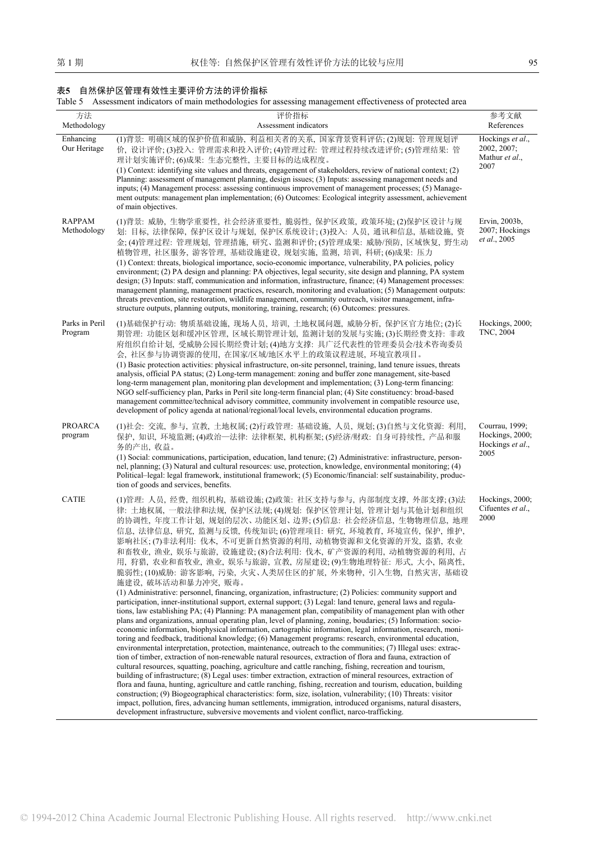### 表**5** 自然保护区管理有效性主要评价方法的评价指标

| Table 5 Assessment indicators of main methodologies for assessing management effectiveness of protected area |  |  |  |
|--------------------------------------------------------------------------------------------------------------|--|--|--|
|                                                                                                              |  |  |  |

| 方法<br>Methodology            | 评价指标<br>Assessment indicators                                                                                                                                                                                                                                                                                                                                                                                                                                                                                                                                                                                                                                                                                                                                                                                                                                                                                                                                                                                                                                                                                                                                                                                                                                                                                                                                                                                                                                                                                                                                                                                                                                                                                                                                                                                                                                                                                                                                                                                                                                                                                       | 参考文献<br>References                                            |
|------------------------------|---------------------------------------------------------------------------------------------------------------------------------------------------------------------------------------------------------------------------------------------------------------------------------------------------------------------------------------------------------------------------------------------------------------------------------------------------------------------------------------------------------------------------------------------------------------------------------------------------------------------------------------------------------------------------------------------------------------------------------------------------------------------------------------------------------------------------------------------------------------------------------------------------------------------------------------------------------------------------------------------------------------------------------------------------------------------------------------------------------------------------------------------------------------------------------------------------------------------------------------------------------------------------------------------------------------------------------------------------------------------------------------------------------------------------------------------------------------------------------------------------------------------------------------------------------------------------------------------------------------------------------------------------------------------------------------------------------------------------------------------------------------------------------------------------------------------------------------------------------------------------------------------------------------------------------------------------------------------------------------------------------------------------------------------------------------------------------------------------------------------|---------------------------------------------------------------|
| Enhancing<br>Our Heritage    | (1)背景: 明确区域的保护价值和威胁, 利益相关者的关系, 国家背景资料评估; (2)规划: 管理规划评<br>价, 设计评价; (3)投入: 管理需求和投入评价; (4)管理过程: 管理过程持续改进评价; (5)管理结果: 管<br>理计划实施评价;(6)成果: 生态完整性, 主要目标的达成程度。<br>(1) Context: identifying site values and threats, engagement of stakeholders, review of national context; (2)<br>Planning: assessment of management planning, design issues; (3) Inputs: assessing management needs and<br>inputs; (4) Management process: assessing continuous improvement of management processes; (5) Manage-<br>ment outputs: management plan implementation; (6) Outcomes: Ecological integrity assessment, achievement<br>of main objectives.                                                                                                                                                                                                                                                                                                                                                                                                                                                                                                                                                                                                                                                                                                                                                                                                                                                                                                                                                                                                                                                                                                                                                                                                                                                                                                                                                                                                                                                                                      | Hockings et al.,<br>2002, 2007;<br>Mathur et al.,<br>2007     |
| <b>RAPPAM</b><br>Methodology | (1)背景: 威胁, 生物学重要性, 社会经济重要性, 脆弱性, 保护区政策, 政策环境; (2)保护区设计与规<br>划: 目标, 法律保障, 保护区设计与规划, 保护区系统设计; (3)投入: 人员, 通讯和信息, 基础设施, 资<br>金;(4)管理过程: 管理规划, 管理措施, 研究、监测和评价;(5)管理成果: 威胁/预防, 区域恢复, 野生动<br>植物管理, 社区服务, 游客管理, 基础设施建设, 规划实施, 监测, 培训, 科研; (6)成果: 压力<br>(1) Context: threats, biological importance, socio-economic importance, vulnerability, PA policies, policy<br>environment; (2) PA design and planning: PA objectives, legal security, site design and planning, PA system<br>design; (3) Inputs: staff, communication and information, infrastructure, finance; (4) Management processes:<br>management planning, management practices, research, monitoring and evaluation; (5) Management outputs:<br>threats prevention, site restoration, wildlife management, community outreach, visitor management, infra-<br>structure outputs, planning outputs, monitoring, training, research; (6) Outcomes: pressures.                                                                                                                                                                                                                                                                                                                                                                                                                                                                                                                                                                                                                                                                                                                                                                                                                                                                                                                                                                                                                                                                                                                                                                                                   | Ervin, 2003b,<br>2007; Hockings<br>et al., 2005               |
| Parks in Peril<br>Program    | (1)基础保护行动: 物质基础设施, 现场人员, 培训, 土地权属问题, 威胁分析, 保护区官方地位; (2)长<br>期管理: 功能区划和缓冲区管理, 区域长期管理计划, 监测计划的发展与实施; (3)长期经费支持: 非政<br>府组织自给计划, 受威胁公园长期经费计划; (4)地方支撑: 具广泛代表性的管理委员会/技术咨询委员<br>会, 社区参与协调资源的使用, 在国家/区域/地区水平上的政策议程进展, 环境宣教项目。<br>(1) Basic protection activities: physical infrastructure, on-site personnel, training, land tenure issues, threats<br>analysis, official PA status; (2) Long-term management: zoning and buffer zone management, site-based<br>long-term management plan, monitoring plan development and implementation; (3) Long-term financing:<br>NGO self-sufficiency plan, Parks in Peril site long-term financial plan; (4) Site constituency: broad-based<br>management committee/technical advisory committee, community involvement in compatible resource use,<br>development of policy agenda at national/regional/local levels, environmental education programs.                                                                                                                                                                                                                                                                                                                                                                                                                                                                                                                                                                                                                                                                                                                                                                                                                                                                                                                                                                                                                                                                                                                                                                                                                            | Hockings, 2000;<br>TNC, 2004                                  |
| PROARCA<br>program           | (1)社会: 交流, 参与, 宣教, 土地权属; (2)行政管理: 基础设施, 人员, 规划; (3)自然与文化资源: 利用,<br>保护, 知识, 环境监测; (4)政治-法律: 法律框架, 机构框架; (5)经济/财政: 自身可持续性, 产品和服<br>务的产出,收益。<br>(1) Social: communications, participation, education, land tenure; (2) Administrative: infrastructure, person-<br>nel, planning; (3) Natural and cultural resources: use, protection, knowledge, environmental monitoring; (4)<br>Political–legal: legal framework, institutional framework; (5) Economic/financial: self sustainability, produc-<br>tion of goods and services, benefits.                                                                                                                                                                                                                                                                                                                                                                                                                                                                                                                                                                                                                                                                                                                                                                                                                                                                                                                                                                                                                                                                                                                                                                                                                                                                                                                                                                                                                                                                                                                                                                             | Courrau, 1999;<br>Hockings, 2000;<br>Hockings et al.,<br>2005 |
| <b>CATIE</b>                 | (1)管理: 人员, 经费, 组织机构, 基础设施; (2)政策: 社区支持与参与, 内部制度支撑, 外部支撑; (3)法<br>律:土地权属,一般法律和法规,保护区法规;(4)规划:保护区管理计划,管理计划与其他计划和组织<br>的协调性,年度工作计划,规划的层次、功能区划、边界;(5)信息:社会经济信息,生物物理信息,地理<br>信息, 法律信息, 研究, 监测与反馈, 传统知识; (6)管理项目: 研究, 环境教育, 环境宣传, 保护, 维护,<br>影响社区;(7)非法利用: 伐木, 不可更新自然资源的利用, 动植物资源和文化资源的开发, 盗猎, 农业<br>和畜牧业, 渔业, 娱乐与旅游, 设施建设; (8)合法利用: 伐木, 矿产资源的利用, 动植物资源的利用, 占<br>用, 狩猎, 农业和畜牧业, 渔业, 娱乐与旅游, 宣教, 房屋建设; (9)生物地理特征: 形式, 大小, 隔离性,<br>脆弱性;(10)威胁: 游客影响, 污染, 火灾、人类居住区的扩展, 外来物种, 引入生物, 自然灾害, 基础设<br>施建设, 破坏活动和暴力冲突, 贩毒。<br>(1) Administrative: personnel, financing, organization, infrastructure; (2) Policies: community support and<br>participation, inner-institutional support, external support; (3) Legal: land tenure, general laws and regula-<br>tions, law establishing PA; (4) Planning: PA management plan, compatibility of management plan with other<br>plans and organizations, annual operating plan, level of planning, zoning, boudaries; (5) Information: socio-<br>economic information, biophysical information, cartographic information, legal information, research, moni-<br>toring and feedback, traditional knowledge; (6) Management programs: research, environmental education,<br>environmental interpretation, protection, maintenance, outreach to the communities; (7) Illegal uses: extrac-<br>tion of timber, extraction of non-renewable natural resources, extraction of flora and fauna, extraction of<br>cultural resources, squatting, poaching, agriculture and cattle ranching, fishing, recreation and tourism,<br>building of infrastructure; (8) Legal uses: timber extraction, extraction of mineral resources, extraction of<br>flora and fauna, hunting, agriculture and cattle ranching, fishing, recreation and tourism, education, building<br>construction; (9) Biogeographical characteristics: form, size, isolation, vulnerability; (10) Threats: visitor<br>impact, pollution, fires, advancing human settlements, immigration, introduced organisms, natural disasters,<br>development infrastructure, subversive movements and violent conflict, narco-trafficking. | Hockings, 2000;<br>Cifuentes et al.,<br>2000                  |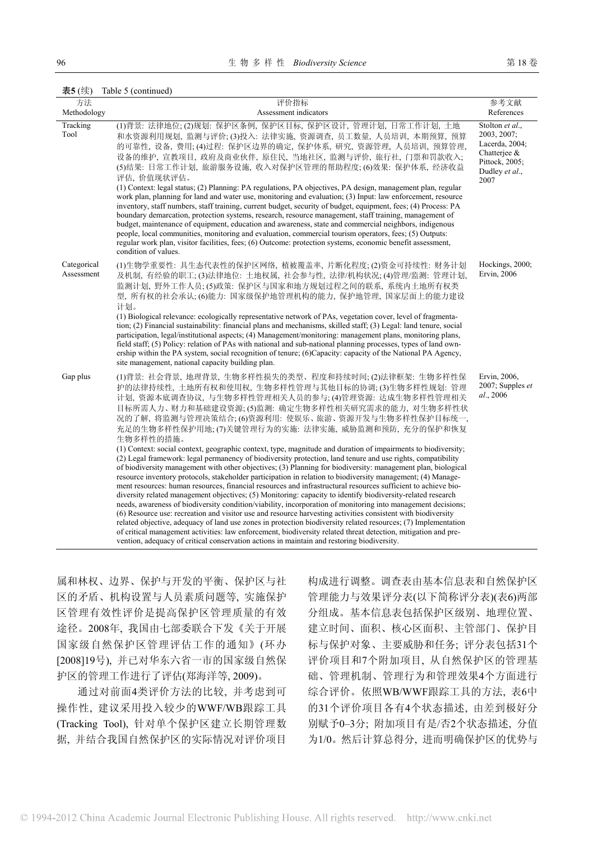| 表5(续) |  | Table 5 (continued) |
|-------|--|---------------------|
|-------|--|---------------------|

| 方法                        | 评价指标                                                                                                                                                                                                                                                                                                                                                                                                                                                                                                                                                                                                                                                                                                                                                                                                                                                                                                                                                                                                                                                                                                                                                                                                                                                                                                                                                                                                                                                                                                                                                                                                             | 参考文献                                                                                                            |
|---------------------------|------------------------------------------------------------------------------------------------------------------------------------------------------------------------------------------------------------------------------------------------------------------------------------------------------------------------------------------------------------------------------------------------------------------------------------------------------------------------------------------------------------------------------------------------------------------------------------------------------------------------------------------------------------------------------------------------------------------------------------------------------------------------------------------------------------------------------------------------------------------------------------------------------------------------------------------------------------------------------------------------------------------------------------------------------------------------------------------------------------------------------------------------------------------------------------------------------------------------------------------------------------------------------------------------------------------------------------------------------------------------------------------------------------------------------------------------------------------------------------------------------------------------------------------------------------------------------------------------------------------|-----------------------------------------------------------------------------------------------------------------|
| Methodology               | Assessment indicators                                                                                                                                                                                                                                                                                                                                                                                                                                                                                                                                                                                                                                                                                                                                                                                                                                                                                                                                                                                                                                                                                                                                                                                                                                                                                                                                                                                                                                                                                                                                                                                            | References                                                                                                      |
| Tracking<br>Tool          | (1)背景: 法律地位; (2)规划: 保护区条例, 保护区目标, 保护区设计, 管理计划, 日常工作计划, 土地<br>和水资源利用规划, 监测与评价; (3)投入: 法律实施, 资源调查, 员工数量, 人员培训, 本期预算, 预算<br>的可靠性, 设备, 费用; (4)过程: 保护区边界的确定, 保护体系, 研究, 资源管理, 人员培训, 预算管理,<br>设备的维护, 宣教项目, 政府及商业伙伴, 原住民, 当地社区, 监测与评价, 旅行社, 门票和罚款收入;<br>(5)结果: 日常工作计划, 旅游服务设施, 收入对保护区管理的帮助程度; (6)效果: 保护体系, 经济收益<br>评估、价值现状评估。<br>(1) Context: legal status; (2) Planning: PA regulations, PA objectives, PA design, management plan, regular<br>work plan, planning for land and water use, monitoring and evaluation; (3) Input: law enforcement, resource<br>inventory, staff numbers, staff training, current budget, security of budget, equipment, fees; (4) Process: PA<br>boundary demarcation, protection systems, research, resource management, staff training, management of<br>budget, maintenance of equipment, education and awareness, state and commercial neighbors, indigenous<br>people, local communities, monitoring and evaluation, commercial tourism operators, fees; (5) Outputs:<br>regular work plan, visitor facilities, fees; (6) Outcome: protection systems, economic benefit assessment,<br>condition of values.                                                                                                                                                                                                                                                                                                                                                                                                                                                                         | Stolton et al.,<br>2003, 2007;<br>Lacerda, 2004;<br>Chatterjee $\&$<br>Pittock, 2005;<br>Dudley et al.,<br>2007 |
| Categorical<br>Assessment | (1)生物学重要性: 具生态代表性的保护区网络, 植被覆盖率, 片断化程度; (2)资金可持续性: 财务计划<br>及机制, 有经验的职工;(3)法律地位: 土地权属, 社会参与性, 法律/机构状况;(4)管理/监测: 管理计划,<br>监测计划, 野外工作人员;(5)政策: 保护区与国家和地方规划过程之间的联系, 系统内土地所有权类<br>型,所有权的社会承认;(6)能力:国家级保护地管理机构的能力,保护地管理,国家层面上的能力建设<br>计划。<br>(1) Biological relevance: ecologically representative network of PAs, vegetation cover, level of fragmenta-<br>tion; (2) Financial sustainability: financial plans and mechanisms, skilled staff; (3) Legal: land tenure, social<br>participation, legal/institutional aspects; (4) Management/monitoring: management plans, monitoring plans,<br>field staff; (5) Policy: relation of PAs with national and sub-national planning processes, types of land own-<br>ership within the PA system, social recognition of tenure; (6)Capacity: capacity of the National PA Agency,<br>site management, national capacity building plan.                                                                                                                                                                                                                                                                                                                                                                                                                                                                                                                                                                                                                                                                                                                                       | Hockings, 2000;<br>Ervin, 2006                                                                                  |
| Gap plus                  | (1)背景: 社会背景, 地理背景, 生物多样性损失的类型、程度和持续时间; (2)法律框架: 生物多样性保<br>护的法律持续性,土地所有权和使用权,生物多样性管理与其他目标的协调;(3)生物多样性规划: 管理<br>计划, 资源本底调查协议, 与生物多样性管理相关人员的参与;(4)管理资源: 达成生物多样性管理相关<br>目标所需人力、财力和基础建设资源;(5)监测: 确定生物多样性相关研究需求的能力, 对生物多样性状<br>况的了解, 将监测与管理决策结合; (6)资源利用: 使娱乐、旅游、资源开发与生物多样性保护目标统一,<br>充足的生物多样性保护用地;(7)关键管理行为的实施: 法律实施, 威胁监测和预防, 充分的保护和恢复<br>生物多样性的措施。<br>(1) Context: social context, geographic context, type, magnitude and duration of impairments to biodiversity;<br>(2) Legal framework: legal permanency of biodiversity protection, land tenure and use rights, compatibility<br>of biodiversity management with other objectives; (3) Planning for biodiversity: management plan, biological<br>resource inventory protocols, stakeholder participation in relation to biodiversity management; (4) Manage-<br>ment resources: human resources, financial resources and infrastructural resources sufficient to achieve bio-<br>diversity related management objectives; (5) Monitoring: capacity to identify biodiversity-related research<br>needs, awareness of biodiversity condition/viability, incorporation of monitoring into management decisions;<br>(6) Resource use: recreation and visitor use and resource harvesting activities consistent with biodiversity<br>related objective, adequacy of land use zones in protection biodiversity related resources; (7) Implementation<br>of critical management activities: law enforcement, biodiversity related threat detection, mitigation and pre-<br>vention, adequacy of critical conservation actions in maintain and restoring biodiversity. | Ervin, 2006,<br>$2007$ ; Supples <i>et</i><br>al., 2006                                                         |

属和林权、边界、保护与开发的平衡、保护区与社 区的矛盾、机构设置与人员素质问题等, 实施保护 区管理有效性评价是提高保护区管理质量的有效 途径。2008年, 我国由七部委联合下发《关于开展 国家级自然保护区管理评估工作的通知》(环办 [2008]19号), 并已对华东六省一市的国家级自然保 护区的管理工作进行了评估(郑海洋等, 2009)。

通过对前面4类评价方法的比较, 并考虑到可 操作性, 建议采用投入较少的WWF/WB跟踪工具 (Tracking Tool), 针对单个保护区建立长期管理数 据, 并结合我国自然保护区的实际情况对评价项目 构成进行调整。调查表由基本信息表和自然保护区 管理能力与效果评分表(以下简称评分表)(表6)两部 分组成。基本信息表包括保护区级别、地理位置、 建立时间、面积、核心区面积、主管部门、保护目 标与保护对象、主要威胁和任务; 评分表包括31个 评价项目和7个附加项目, 从自然保护区的管理基 础、管理机制、管理行为和管理效果4个方面进行 综合评价。依照WB/WWF跟踪工具的方法, 表6中 的31个评价项目各有4个状态描述, 由差到极好分 别赋予0–3分; 附加项目有是/否2个状态描述, 分值 为1/0。然后计算总得分, 进而明确保护区的优势与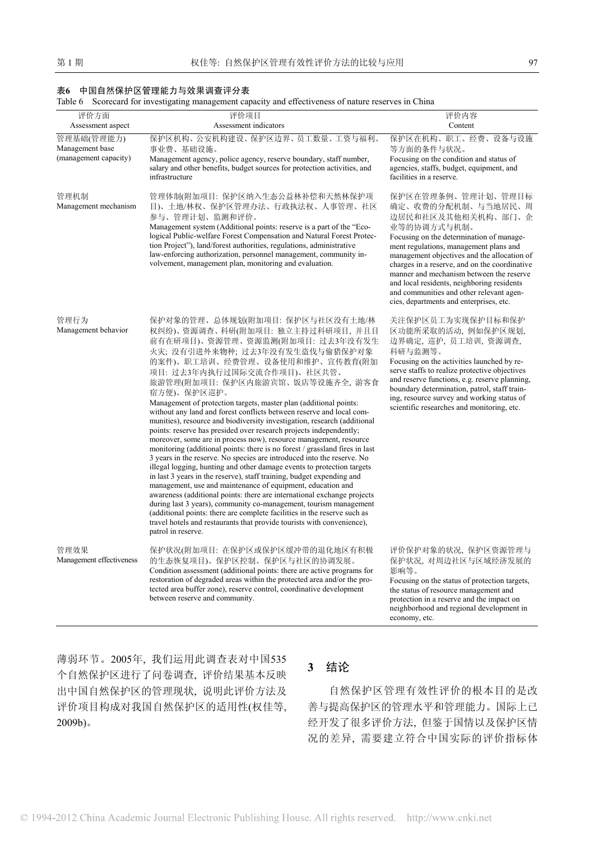#### 表**6** 中国自然保护区管理能力与效果调查评分表

Table 6 Scorecard for investigating management capacity and effectiveness of nature reserves in China

| 评价方面                                                   | 评价项目                                                                                                                                                                                                                                                                                                                                                                                                                                                                                                                                                                                                                                                                                                                                                                                                                                                                                                                                                                                                                                                                                                                                                                                                                                                                                                                                     | 评价内容                                                                                                                                                                                                                                                                                                                                                                                                                                                 |
|--------------------------------------------------------|------------------------------------------------------------------------------------------------------------------------------------------------------------------------------------------------------------------------------------------------------------------------------------------------------------------------------------------------------------------------------------------------------------------------------------------------------------------------------------------------------------------------------------------------------------------------------------------------------------------------------------------------------------------------------------------------------------------------------------------------------------------------------------------------------------------------------------------------------------------------------------------------------------------------------------------------------------------------------------------------------------------------------------------------------------------------------------------------------------------------------------------------------------------------------------------------------------------------------------------------------------------------------------------------------------------------------------------|------------------------------------------------------------------------------------------------------------------------------------------------------------------------------------------------------------------------------------------------------------------------------------------------------------------------------------------------------------------------------------------------------------------------------------------------------|
| Assessment aspect                                      | Assessment indicators                                                                                                                                                                                                                                                                                                                                                                                                                                                                                                                                                                                                                                                                                                                                                                                                                                                                                                                                                                                                                                                                                                                                                                                                                                                                                                                    | Content                                                                                                                                                                                                                                                                                                                                                                                                                                              |
| 管理基础(管理能力)<br>Management base<br>(management capacity) | 保护区机构、公安机构建设、保护区边界、员工数量、工资与福利、<br>事业费、基础设施。<br>Management agency, police agency, reserve boundary, staff number,<br>salary and other benefits, budget sources for protection activities, and<br>infrastructure                                                                                                                                                                                                                                                                                                                                                                                                                                                                                                                                                                                                                                                                                                                                                                                                                                                                                                                                                                                                                                                                                                                           | 保护区在机构、职工、经费、设备与设施<br>等方面的条件与状况。<br>Focusing on the condition and status of<br>agencies, staffs, budget, equipment, and<br>facilities in a reserve.                                                                                                                                                                                                                                                                                                  |
| 管理机制<br>Management mechanism                           | 管理体制(附加项目: 保护区纳入生态公益林补偿和天然林保护项<br>目)、土地/林权、保护区管理办法、行政执法权、人事管理、社区<br>参与、管理计划、监测和评价。<br>Management system (Additional points: reserve is a part of the "Eco-<br>logical Public-welfare Forest Compensation and Natural Forest Protec-<br>tion Project"), land/forest authorities, regulations, administrative<br>law-enforcing authorization, personnel management, community in-<br>volvement, management plan, monitoring and evaluation.                                                                                                                                                                                                                                                                                                                                                                                                                                                                                                                                                                                                                                                                                                                                                                                                                                                                                                | 保护区在管理条例、管理计划、管理目标<br>确定、收费的分配机制、与当地居民、周<br>边居民和社区及其他相关机构、部门、企<br>业等的协调方式与机制。<br>Focusing on the determination of manage-<br>ment regulations, management plans and<br>management objectives and the allocation of<br>charges in a reserve, and on the coordinative<br>manner and mechanism between the reserve<br>and local residents, neighboring residents<br>and communities and other relevant agen-<br>cies, departments and enterprises, etc. |
| 管理行为<br>Management behavior                            | 保护对象的管理、总体规划(附加项目: 保护区与社区没有土地/林<br>权纠纷)、资源调查、科研(附加项目: 独立主持过科研项目, 并且目<br>前有在研项目)、资源管理、资源监测(附加项目: 过去3年没有发生<br>火灾;没有引进外来物种;过去3年没有发生盗伐与偷猎保护对象<br>的案件)、职工培训、经费管理、设备使用和维护、宣传教育(附加<br>项目: 过去3年内执行过国际交流合作项目)、社区共管、<br>旅游管理(附加项目: 保护区内旅游宾馆、饭店等设施齐全, 游客食<br>宿方便)、保护区巡护。<br>Management of protection targets, master plan (additional points:<br>without any land and forest conflicts between reserve and local com-<br>munities), resource and biodiversity investigation, research (additional<br>points: reserve has presided over research projects independently;<br>moreover, some are in process now), resource management, resource<br>monitoring (additional points: there is no forest / grassland fires in last<br>3 years in the reserve. No species are introduced into the reserve. No<br>illegal logging, hunting and other damage events to protection targets<br>in last 3 years in the reserve), staff training, budget expending and<br>management, use and maintenance of equipment, education and<br>awareness (additional points: there are international exchange projects<br>during last 3 years), community co-management, tourism management<br>(additional points: there are complete facilities in the reserve such as<br>travel hotels and restaurants that provide tourists with convenience),<br>patrol in reserve. | 关注保护区员工为实现保护目标和保护<br>区功能所采取的活动, 例如保护区规划,<br>边界确定, 巡护, 员工培训, 资源调查,<br>科研与监测等。<br>Focusing on the activities launched by re-<br>serve staffs to realize protective objectives<br>and reserve functions, e.g. reserve planning,<br>boundary determination, patrol, staff train-<br>ing, resource survey and working status of<br>scientific researches and monitoring, etc.                                                                             |
| 管理效果<br>Management effectiveness                       | 保护状况(附加项目: 在保护区或保护区缓冲带的退化地区有积极<br>的生态恢复项目)、保护区控制、保护区与社区的协调发展。<br>Condition assessment (additional points: there are active programs for<br>restoration of degraded areas within the protected area and/or the pro-<br>tected area buffer zone), reserve control, coordinative development<br>between reserve and community.                                                                                                                                                                                                                                                                                                                                                                                                                                                                                                                                                                                                                                                                                                                                                                                                                                                                                                                                                                                                              | 评价保护对象的状况, 保护区资源管理与<br>保护状况, 对周边社区与区域经济发展的<br>影响等。<br>Focusing on the status of protection targets,<br>the status of resource management and<br>protection in a reserve and the impact on<br>neighborhood and regional development in<br>economy, etc.                                                                                                                                                                                               |

薄弱环节。2005年, 我们运用此调查表对中国535 个自然保护区进行了问卷调查, 评价结果基本反映 出中国自然保护区的管理现状, 说明此评价方法及 评价项目构成对我国自然保护区的适用性(权佳等, 2009b)。

## **3** 结论

自然保护区管理有效性评价的根本目的是改 善与提高保护区的管理水平和管理能力。国际上已 经开发了很多评价方法, 但鉴于国情以及保护区情 况的差异, 需要建立符合中国实际的评价指标体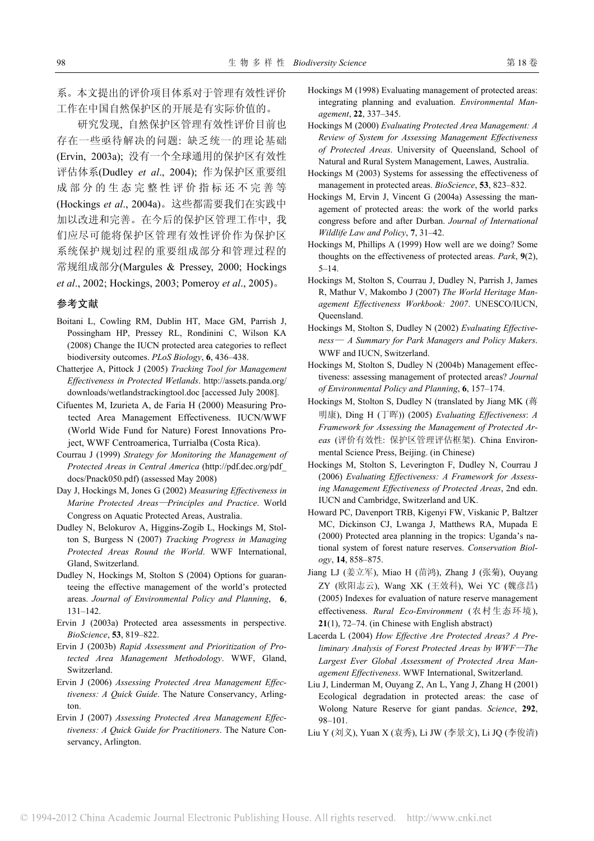系。本文提出的评价项目体系对于管理有效性评价 工作在中国自然保护区的开展是有实际价值的。

研究发现, 自然保护区管理有效性评价目前也 存在一些亟待解决的问题: 缺乏统一的理论基础 (Ervin, 2003a); 没有一个全球通用的保护区有效性 评估体系(Dudley *et al*., 2004); 作为保护区重要组 成部分的生态完整性评价指标还不完善等 (Hockings *et al*., 2004a)。这些都需要我们在实践中 加以改进和完善。在今后的保护区管理工作中, 我 们应尽可能将保护区管理有效性评价作为保护区 系统保护规划过程的重要组成部分和管理过程的 常规组成部分(Margules & Pressey, 2000; Hockings *et al*., 2002; Hockings, 2003; Pomeroy *et al*., 2005)。

#### 参考文献

- Boitani L, Cowling RM, Dublin HT, Mace GM, Parrish J, Possingham HP, Pressey RL, Rondinini C, Wilson KA (2008) Change the IUCN protected area categories to reflect biodiversity outcomes. *PLoS Biology*, **6**, 436–438.
- Chatterjee A, Pittock J (2005) *Tracking Tool for Management Effectiveness in Protected Wetlands*. http://assets.panda.org/ downloads/wetlandstrackingtool.doc [accessed July 2008].
- Cifuentes M, Izurieta A, de Faria H (2000) Measuring Protected Area Management Effectiveness. IUCN/WWF (World Wide Fund for Nature) Forest Innovations Project, WWF Centroamerica, Turrialba (Costa Rica).
- Courrau J (1999) *Strategy for Monitoring the Management of Protected Areas in Central America* (http://pdf.dec.org/pdf\_ docs/Pnack050.pdf) (assessed May 2008)
- Day J, Hockings M, Jones G (2002) *Measuring Effectiveness in Marine Protected Areas*—*Principles and Practice*. World Congress on Aquatic Protected Areas, Australia.
- Dudley N, Belokurov A, Higgins-Zogib L, Hockings M, Stolton S, Burgess N (2007) *Tracking Progress in Managing Protected Areas Round the World*. WWF International, Gland, Switzerland.
- Dudley N, Hockings M, Stolton S (2004) Options for guaranteeing the effective management of the world's protected areas. *Journal of Environmental Policy and Planning*, **6**, 131–142.
- Ervin J (2003a) Protected area assessments in perspective. *BioScience*, **53**, 819–822.
- Ervin J (2003b) *Rapid Assessment and Prioritization of Protected Area Management Methodology*. WWF, Gland, Switzerland.
- Ervin J (2006) *Assessing Protected Area Management Effectiveness: A Quick Guide*. The Nature Conservancy, Arlington.
- Ervin J (2007) *Assessing Protected Area Management Effectiveness: A Quick Guide for Practitioners*. The Nature Conservancy, Arlington.
- Hockings M (1998) Evaluating management of protected areas: integrating planning and evaluation. *Environmental Management*, **22**, 337–345.
- Hockings M (2000) *Evaluating Protected Area Management: A Review of System for Assessing Management Effectiveness of Protected Areas*. University of Queensland, School of Natural and Rural System Management, Lawes, Australia.
- Hockings M (2003) Systems for assessing the effectiveness of management in protected areas. *BioScience*, **53**, 823–832.
- Hockings M, Ervin J, Vincent G (2004a) Assessing the management of protected areas: the work of the world parks congress before and after Durban. *Journal of International Wildlife Law and Policy*, **7**, 31–42.
- Hockings M, Phillips A (1999) How well are we doing? Some thoughts on the effectiveness of protected areas. *Park*, **9**(2), 5–14.
- Hockings M, Stolton S, Courrau J, Dudley N, Parrish J, James R, Mathur V, Makombo J (2007) *The World Heritage Management Effectiveness Workbook: 2007*. UNESCO/IUCN, Queensland.
- Hockings M, Stolton S, Dudley N (2002) *Evaluating Effectiveness*— *A Summary for Park Managers and Policy Makers*. WWF and IUCN, Switzerland.
- Hockings M, Stolton S, Dudley N (2004b) Management effectiveness: assessing management of protected areas? *Journal of Environmental Policy and Planning*, **6**, 157–174.
- Hockings M, Stolton S, Dudley N (translated by Jiang MK (蒋 明康), Ding H (丁晖)) (2005) *Evaluating Effectiveness*: *A Framework for Assessing the Management of Protected Areas* (评价有效性: 保护区管理评估框架). China Environmental Science Press, Beijing. (in Chinese)
- Hockings M, Stolton S, Leverington F, Dudley N, Courrau J (2006) *Evaluating Effectiveness: A Framework for Assessing Management Effectiveness of Protected Areas*, 2nd edn. IUCN and Cambridge, Switzerland and UK.
- Howard PC, Davenport TRB, Kigenyi FW, Viskanic P, Baltzer MC, Dickinson CJ, Lwanga J, Matthews RA, Mupada E (2000) Protected area planning in the tropics: Uganda's national system of forest nature reserves. *Conservation Biology*, **14**, 858–875.
- Jiang LJ (姜立军), Miao H (苗鸿), Zhang J (张菊), Ouyang ZY (欧阳志云), Wang XK (王效科), Wei YC (魏彦昌) (2005) Indexes for evaluation of nature reserve management effectiveness. *Rural Eco-Environment* (农村生态环境), **21**(1), 72–74. (in Chinese with English abstract)
- Lacerda L (2004) *How Effective Are Protected Areas? A Preliminary Analysis of Forest Protected Areas by WWF*—*The Largest Ever Global Assessment of Protected Area Management Effectiveness*. WWF International, Switzerland.
- Liu J, Linderman M, Ouyang Z, An L, Yang J, Zhang H (2001) Ecological degradation in protected areas: the case of Wolong Nature Reserve for giant pandas. *Science*, **292**, 98–101.
- Liu Y (刘义), Yuan X (袁秀), Li JW (李景文), Li JQ (李俊清)